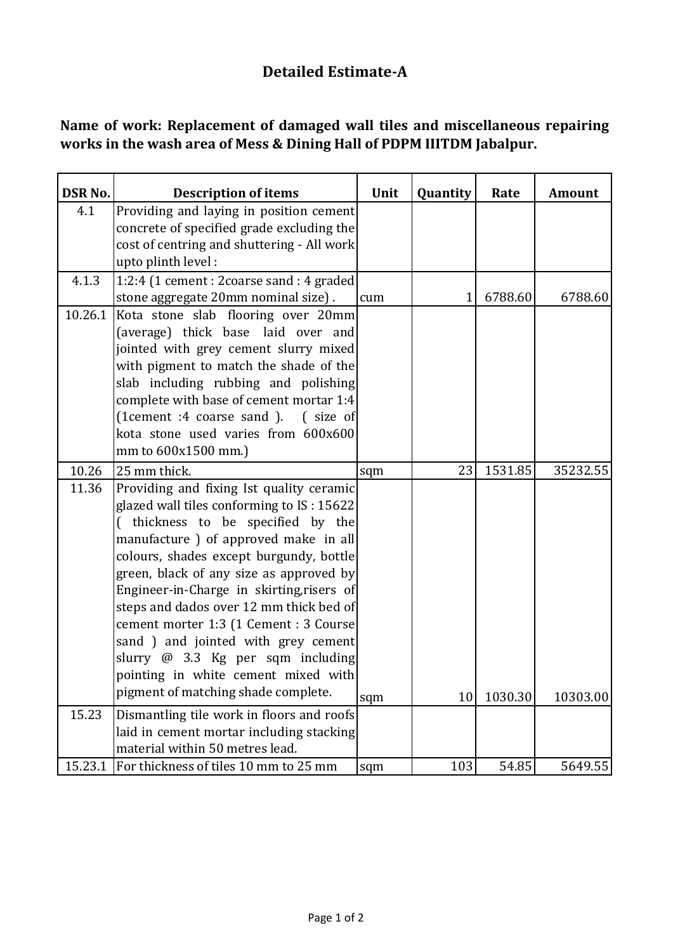## **Detailed Estimate-A**

## **Name of work: Replacement of damaged wall tiles and miscellaneous repairing works in the wash area of Mess & Dining Hall of PDPM IIITDM Jabalpur.**

| <b>DSR No.</b> | <b>Description of items</b>                | Unit | Quantity | Rate    | Amount   |
|----------------|--------------------------------------------|------|----------|---------|----------|
| 4.1            | Providing and laying in position cement    |      |          |         |          |
|                | concrete of specified grade excluding the  |      |          |         |          |
|                | cost of centring and shuttering - All work |      |          |         |          |
|                | upto plinth level:                         |      |          |         |          |
| 4.1.3          | 1:2:4 (1 cement : 2coarse sand : 4 graded  |      |          |         |          |
|                | stone aggregate 20mm nominal size).        | cum  | 1        | 6788.60 | 6788.60  |
| 10.26.1        | Kota stone slab flooring over 20mm         |      |          |         |          |
|                | (average) thick base laid over and         |      |          |         |          |
|                | jointed with grey cement slurry mixed      |      |          |         |          |
|                | with pigment to match the shade of the     |      |          |         |          |
|                | slab including rubbing and polishing       |      |          |         |          |
|                | complete with base of cement mortar 1:4    |      |          |         |          |
|                | (1cement :4 coarse sand ). (size of        |      |          |         |          |
|                | kota stone used varies from 600x600        |      |          |         |          |
|                | mm to 600x1500 mm.)                        |      |          |         |          |
| 10.26          | 25 mm thick.                               | sqm  | 23       | 1531.85 | 35232.55 |
| 11.36          | Providing and fixing Ist quality ceramic   |      |          |         |          |
|                | glazed wall tiles conforming to IS: 15622  |      |          |         |          |
|                | (thickness to be specified by the          |      |          |         |          |
|                | manufacture ) of approved make in all      |      |          |         |          |
|                | colours, shades except burgundy, bottle    |      |          |         |          |
|                | green, black of any size as approved by    |      |          |         |          |
|                | Engineer-in-Charge in skirting, risers of  |      |          |         |          |
|                | steps and dados over 12 mm thick bed of    |      |          |         |          |
|                | cement morter 1:3 (1 Cement : 3 Course     |      |          |         |          |
|                | sand ) and jointed with grey cement        |      |          |         |          |
|                | slurry $\omega$ 3.3 Kg per sqm including   |      |          |         |          |
|                | pointing in white cement mixed with        |      |          |         |          |
|                | pigment of matching shade complete.        | sqm  | 10       | 1030.30 | 10303.00 |
| 15.23          | Dismantling tile work in floors and roofs  |      |          |         |          |
|                | laid in cement mortar including stacking   |      |          |         |          |
|                | material within 50 metres lead.            |      |          |         |          |
| 15.23.1        | For thickness of tiles 10 mm to 25 mm      | sqm  | 103      | 54.85   | 5649.55  |